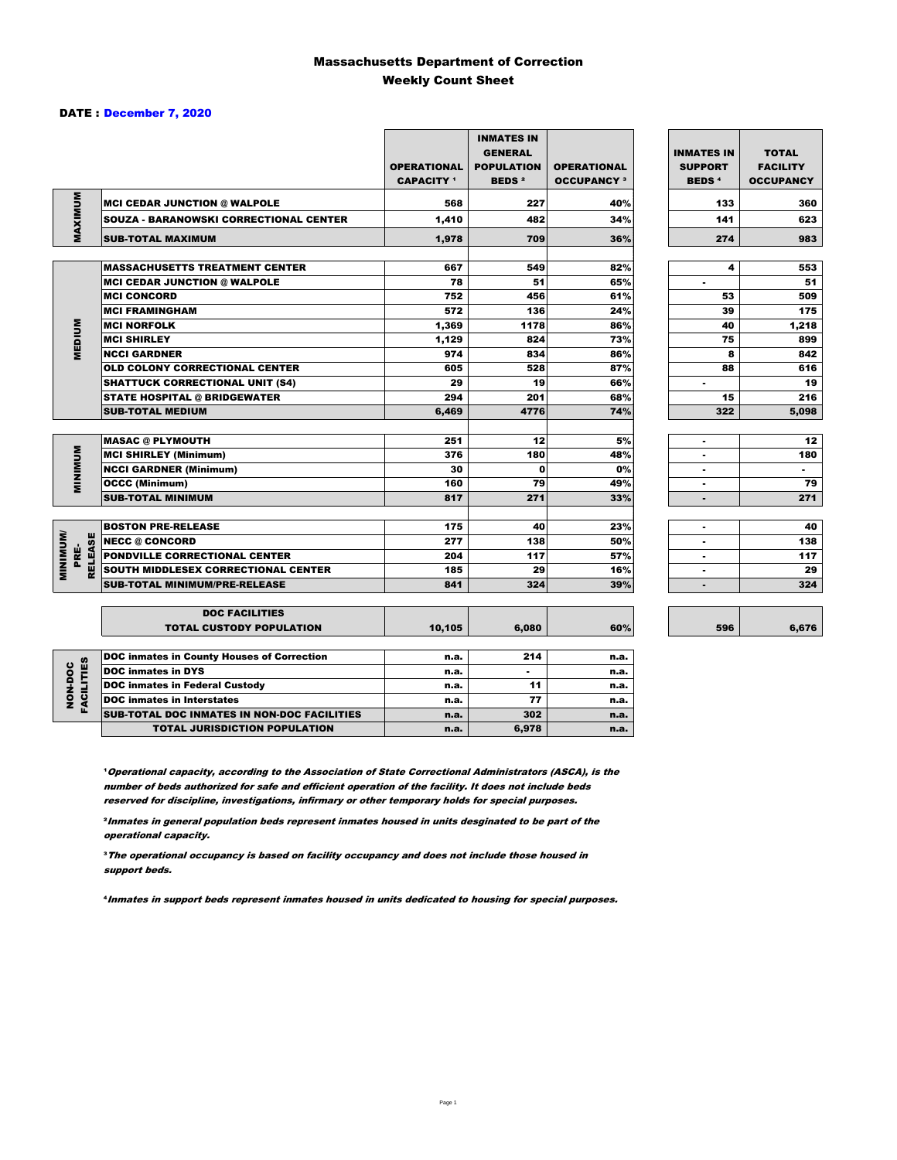#### Massachusetts Department of Correction Weekly Count Sheet

#### DATE : December 7, 2020

|                              |                                                   | <b>OPERATIONAL</b><br><b>CAPACITY</b> 1 | <b>INMATES IN</b><br><b>GENERAL</b><br><b>POPULATION</b><br><b>BEDS<sup>2</sup></b> | <b>OPERATIONAL</b><br><b>OCCUPANCY 3</b> | <b>INMATES IN</b><br><b>SUPPORT</b><br><b>BEDS<sup>4</sup></b> | <b>TOTAL</b><br><b>FACILITY</b><br><b>OCCUPANCY</b> |
|------------------------------|---------------------------------------------------|-----------------------------------------|-------------------------------------------------------------------------------------|------------------------------------------|----------------------------------------------------------------|-----------------------------------------------------|
| MAXIMUM                      | <b>MCI CEDAR JUNCTION @ WALPOLE</b>               | 568                                     | 227                                                                                 | 40%                                      | 133                                                            | 360                                                 |
|                              | SOUZA - BARANOWSKI CORRECTIONAL CENTER            | 1,410                                   | 482                                                                                 | 34%                                      | 141                                                            | 623                                                 |
|                              | <b>SUB-TOTAL MAXIMUM</b>                          | 1,978                                   | 709                                                                                 | 36%                                      | 274                                                            | 983                                                 |
|                              |                                                   |                                         |                                                                                     |                                          |                                                                |                                                     |
|                              | <b>MASSACHUSETTS TREATMENT CENTER</b>             | 667                                     | 549                                                                                 | 82%                                      | 4                                                              | 553                                                 |
|                              | <b>MCI CEDAR JUNCTION @ WALPOLE</b>               | 78                                      | 51                                                                                  | 65%                                      | ٠                                                              | 51                                                  |
|                              | <b>MCI CONCORD</b>                                | 752                                     | 456                                                                                 | 61%                                      | 53                                                             | 509                                                 |
|                              | <b>MCI FRAMINGHAM</b>                             | 572                                     | 136                                                                                 | 24%                                      | 39                                                             | 175                                                 |
|                              | <b>MCI NORFOLK</b>                                | 1,369                                   | 1178                                                                                | 86%                                      | 40                                                             | 1,218                                               |
| <b>MEDIUM</b>                | <b>MCI SHIRLEY</b>                                | 1,129                                   | 824                                                                                 | 73%                                      | 75                                                             | 899                                                 |
|                              | <b>NCCI GARDNER</b>                               | 974                                     | 834                                                                                 | 86%                                      | 8                                                              | 842                                                 |
|                              | OLD COLONY CORRECTIONAL CENTER                    | 605                                     | 528                                                                                 | 87%                                      | 88                                                             | 616                                                 |
|                              | <b>SHATTUCK CORRECTIONAL UNIT (S4)</b>            | 29                                      | 19                                                                                  | 66%                                      | ٠                                                              | 19                                                  |
|                              | <b>STATE HOSPITAL @ BRIDGEWATER</b>               | 294                                     | 201                                                                                 | 68%                                      | 15                                                             | 216                                                 |
|                              | <b>SUB-TOTAL MEDIUM</b>                           | 6,469                                   | 4776                                                                                | 74%                                      | 322                                                            | 5,098                                               |
|                              |                                                   |                                         |                                                                                     |                                          |                                                                |                                                     |
|                              | <b>MASAC @ PLYMOUTH</b>                           | 251                                     | 12                                                                                  | 5%                                       | ٠                                                              | 12                                                  |
|                              | <b>MCI SHIRLEY (Minimum)</b>                      | 376                                     | 180                                                                                 | 48%                                      |                                                                | 180                                                 |
|                              | <b>NCCI GARDNER (Minimum)</b>                     | 30                                      | $\mathbf{0}$                                                                        | 0%                                       | ٠                                                              | ۰.                                                  |
| <b>MINIMUM</b>               | <b>OCCC (Minimum)</b>                             | 160                                     | 79                                                                                  | 49%                                      | $\blacksquare$                                                 | 79                                                  |
|                              | <b>SUB-TOTAL MINIMUM</b>                          | 817                                     | 271                                                                                 | 33%                                      | $\overline{a}$                                                 | 271                                                 |
|                              |                                                   |                                         |                                                                                     |                                          |                                                                |                                                     |
|                              | <b>BOSTON PRE-RELEASE</b>                         | 175                                     | 40                                                                                  | 23%                                      | ٠                                                              | 40                                                  |
|                              | <b>RELEASE</b><br><b>NECC @ CONCORD</b>           | 277                                     | 138                                                                                 | 50%                                      | $\blacksquare$                                                 | 138                                                 |
| PRE-                         | PONDVILLE CORRECTIONAL CENTER                     | 204                                     | 117                                                                                 | 57%                                      | ٠                                                              | 117                                                 |
| <b>MINIMINI</b>              | SOUTH MIDDLESEX CORRECTIONAL CENTER               | 185                                     | 29                                                                                  | 16%                                      | ٠                                                              | 29                                                  |
|                              | <b>SUB-TOTAL MINIMUM/PRE-RELEASE</b>              | 841                                     | 324                                                                                 | 39%                                      | ٠                                                              | 324                                                 |
|                              |                                                   |                                         |                                                                                     |                                          |                                                                |                                                     |
|                              | <b>DOC FACILITIES</b>                             |                                         |                                                                                     |                                          |                                                                |                                                     |
|                              | <b>TOTAL CUSTODY POPULATION</b>                   | 10,105                                  | 6,080                                                                               | 60%                                      | 596                                                            | 6,676                                               |
|                              |                                                   |                                         |                                                                                     |                                          |                                                                |                                                     |
|                              | <b>DOC inmates in County Houses of Correction</b> | n.a.                                    | 214                                                                                 | n.a.                                     |                                                                |                                                     |
| <b>FACILITIES</b><br>NON-DOC | <b>DOC</b> inmates in DYS                         | n.a.                                    |                                                                                     | n.a.                                     |                                                                |                                                     |
|                              | <b>DOC inmates in Federal Custody</b>             | n.a.                                    | 11                                                                                  | n.a.                                     |                                                                |                                                     |
|                              | <b>DOC</b> inmates in Interstates                 | n.a.                                    | 77                                                                                  | n.a.                                     |                                                                |                                                     |
|                              | SUB-TOTAL DOC INMATES IN NON-DOC FACILITIES       | n.a.                                    | 302                                                                                 | n.a.                                     |                                                                |                                                     |

**Operational capacity, according to the Association of State Correctional Administrators (ASCA), is the** number of beds authorized for safe and efficient operation of the facility. It does not include beds reserved for discipline, investigations, infirmary or other temporary holds for special purposes.

TOTAL JURISDICTION POPULATION **n.a.** 6,978 n.a.

²Inmates in general population beds represent inmates housed in units desginated to be part of the operational capacity.

³The operational occupancy is based on facility occupancy and does not include those housed in support beds.

⁴Inmates in support beds represent inmates housed in units dedicated to housing for special purposes.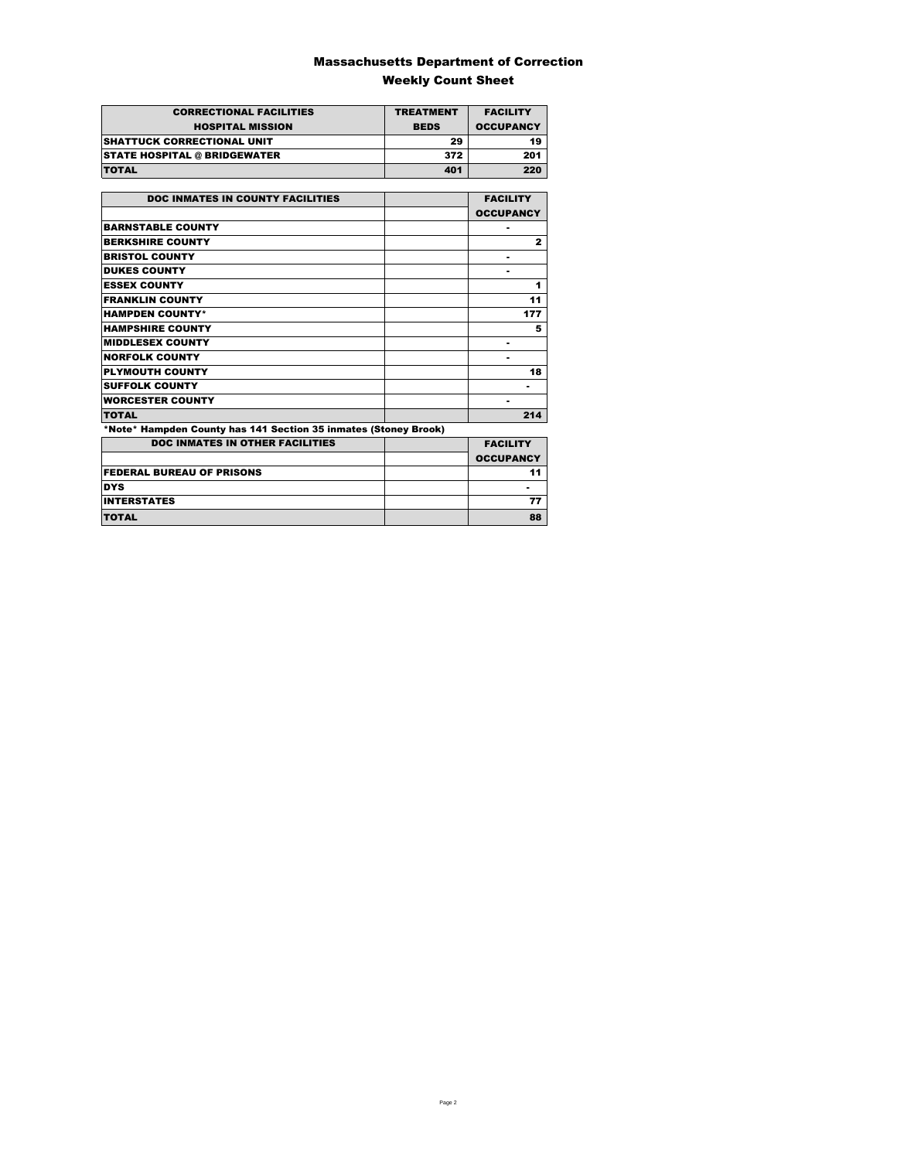### Massachusetts Department of Correction Weekly Count Sheet

| <b>CORRECTIONAL FACILITIES</b>      | <b>TREATMENT</b> | <b>FACILITY</b>  |
|-------------------------------------|------------------|------------------|
| <b>HOSPITAL MISSION</b>             | <b>BEDS</b>      | <b>OCCUPANCY</b> |
| <b>SHATTUCK CORRECTIONAL UNIT</b>   | 29               | 19               |
| <b>STATE HOSPITAL @ BRIDGEWATER</b> | 372              | 201              |
| <b>TOTAL</b>                        | 401              | 220              |

| <b>DOC INMATES IN COUNTY FACILITIES</b>                         | <b>FACILITY</b>  |
|-----------------------------------------------------------------|------------------|
|                                                                 | <b>OCCUPANCY</b> |
| <b>BARNSTABLE COUNTY</b>                                        |                  |
| <b>BERKSHIRE COUNTY</b>                                         | $\mathbf{2}$     |
| <b>BRISTOL COUNTY</b>                                           |                  |
| <b>DUKES COUNTY</b>                                             |                  |
| <b>ESSEX COUNTY</b>                                             | 1                |
| <b>FRANKLIN COUNTY</b>                                          | 11               |
| <b>HAMPDEN COUNTY*</b>                                          |                  |
|                                                                 | 177              |
| <b>HAMPSHIRE COUNTY</b>                                         | 5                |
| <b>MIDDLESEX COUNTY</b>                                         |                  |
| <b>NORFOLK COUNTY</b>                                           |                  |
| <b>PLYMOUTH COUNTY</b>                                          | 18               |
| <b>SUFFOLK COUNTY</b>                                           | ۰                |
| <b>WORCESTER COUNTY</b>                                         |                  |
| <b>TOTAL</b>                                                    | 214              |
| *Note* Hampden County has 141 Section 35 inmates (Stoney Brook) |                  |
| <b>DOC INMATES IN OTHER FACILITIES</b>                          | <b>FACILITY</b>  |
|                                                                 | <b>OCCUPANCY</b> |
| <b>FEDERAL BUREAU OF PRISONS</b>                                | 11               |
| <b>DYS</b>                                                      |                  |
| <b>INTERSTATES</b>                                              | 77               |
| <b>TOTAL</b>                                                    | 88               |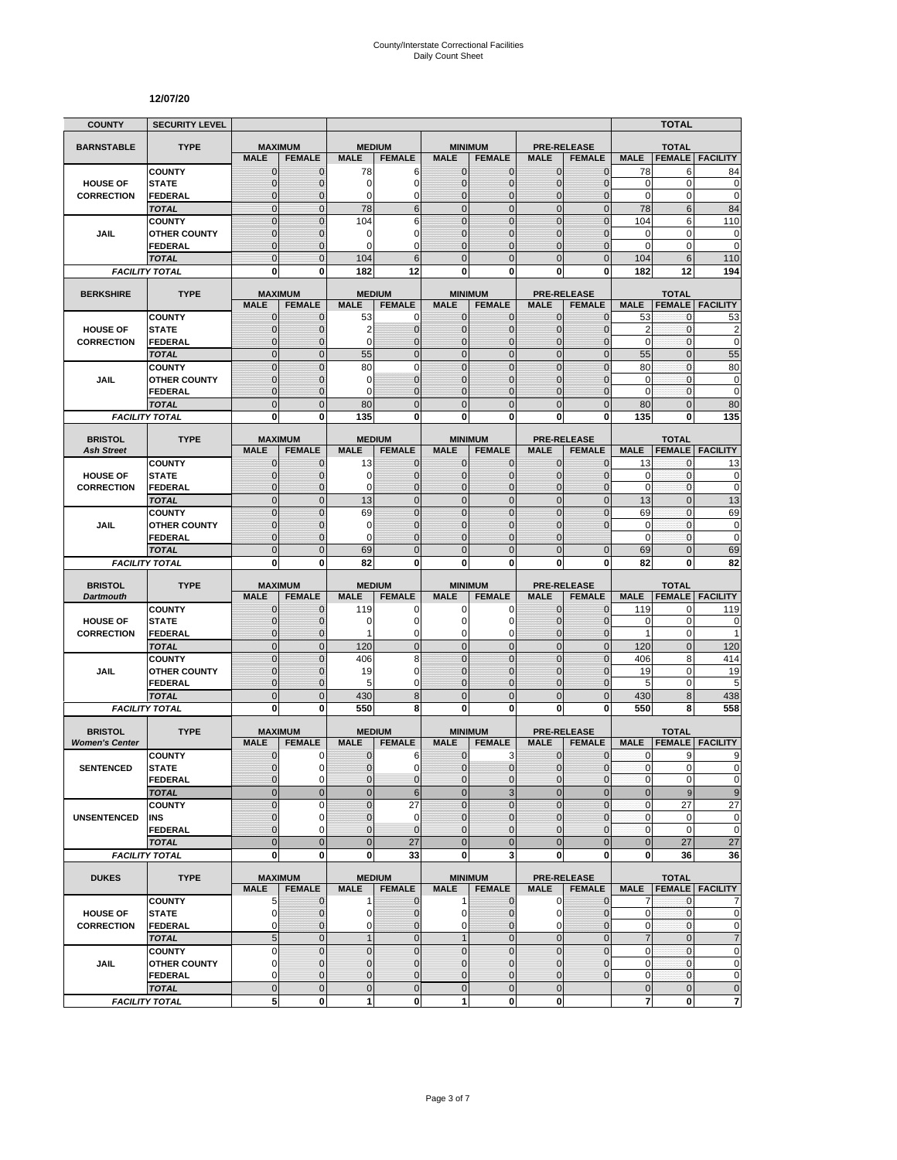#### **12/07/20**

| <b>COUNTY</b>                        | <b>SECURITY LEVEL</b>          |                                  |                                 |                                  |                                |                                |                                 |                              |                                     |                               | <b>TOTAL</b>                   |                               |
|--------------------------------------|--------------------------------|----------------------------------|---------------------------------|----------------------------------|--------------------------------|--------------------------------|---------------------------------|------------------------------|-------------------------------------|-------------------------------|--------------------------------|-------------------------------|
| <b>BARNSTABLE</b>                    | <b>TYPE</b>                    | <b>MAXIMUM</b>                   |                                 |                                  | <b>MEDIUM</b>                  |                                | <b>MINIMUM</b>                  |                              | <b>PRE-RELEASE</b>                  |                               | <b>TOTAL</b>                   |                               |
|                                      |                                | <b>MALE</b>                      | <b>FEMALE</b>                   | <b>MALE</b>                      | <b>FEMALE</b>                  | <b>MALE</b>                    | <b>FEMALE</b>                   | <b>MALE</b>                  | <b>FEMALE</b>                       | <b>MALE</b>                   | <b>FEMALE</b>                  | <b>FACILITY</b>               |
|                                      | <b>COUNTY</b>                  | $\mathbf 0$                      | $\mathbf{0}$                    | 78                               | 6<br>$\mathbf 0$               | $\mathbf{0}$                   | 0                               | $\mathbf{0}$                 | $\overline{0}$                      | 78                            | 6<br>0                         | 84                            |
| <b>HOUSE OF</b><br><b>CORRECTION</b> | <b>STATE</b><br><b>FEDERAL</b> | $\overline{0}$<br>$\overline{0}$ | $\mathbf 0$<br>0                | $\mathbf 0$<br>0                 | $\mathbf 0$                    | $\overline{0}$<br>0            | $\overline{0}$<br>$\mathbf 0$   | $\mathbf 0$<br>$\mathbf 0$   | $\overline{0}$<br>0                 | $\mathbf 0$<br>$\mathbf 0$    | 0                              | $\mathbf 0$<br>$\mathbf 0$    |
|                                      | <b>TOTAL</b>                   | $\overline{0}$                   | $\overline{0}$                  | 78                               | $6\phantom{1}6$                | $\mathbf 0$                    | $\mathbf 0$                     | $\mathbf{0}$                 | $\mathbf 0$                         | 78                            | 6                              | 84                            |
|                                      | <b>COUNTY</b>                  | $\overline{0}$                   | $\overline{0}$                  | 104                              | 6                              | $\Omega$                       | $\mathbf 0$                     | $\mathbf{0}$                 | $\overline{0}$                      | 104                           | 6                              | 110                           |
| JAIL                                 | <b>OTHER COUNTY</b>            | $\mathbf{0}$                     | 0                               | 0                                | $\mathbf 0$                    | $\overline{0}$                 | $\overline{0}$                  | $\Omega$                     | $\overline{0}$                      | $\mathbf 0$                   | 0                              | $\mathbf 0$                   |
|                                      | <b>FEDERAL</b>                 | $\mathbf 0$                      | $\mathbf 0$                     | $\Omega$                         | $\mathbf 0$                    | $\Omega$                       | $\overline{0}$                  | $\Omega$                     | $\overline{0}$                      | 0                             | 0                              | $\mathbf 0$                   |
|                                      | <b>TOTAL</b>                   | $\overline{0}$<br>0              | $\Omega$<br>$\bf{0}$            | 104                              | 6<br>12                        | $\Omega$<br>0                  | $\overline{0}$<br>0             | $\Omega$<br>$\bf{0}$         | $\overline{0}$<br>0                 | 104<br>182                    | 6<br>12                        | 110<br>194                    |
|                                      | <b>FACILITY TOTAL</b>          |                                  |                                 | 182                              |                                |                                |                                 |                              |                                     |                               |                                |                               |
| <b>BERKSHIRE</b>                     | <b>TYPE</b>                    |                                  | <b>MAXIMUM</b>                  |                                  | <b>MEDIUM</b>                  |                                | <b>MINIMUM</b>                  |                              | <b>PRE-RELEASE</b>                  |                               | <b>TOTAL</b>                   |                               |
|                                      |                                | <b>MALE</b>                      | <b>FEMALE</b>                   | <b>MALE</b>                      | <b>FEMALE</b>                  | <b>MALE</b>                    | <b>FEMALE</b>                   | <b>MALE</b>                  | <b>FEMALE</b>                       | <b>MALE</b>                   | <b>FEMALE</b>                  | <b>FACILITY</b>               |
|                                      | <b>COUNTY</b>                  | 0                                | $\mathbf 0$                     | 53                               | 0                              | 0                              | $\mathbf{0}$                    | $\mathbf{0}$                 | $\mathbf{0}$                        | 53                            | 0<br>0                         | 53                            |
| <b>HOUSE OF</b><br><b>CORRECTION</b> | <b>STATE</b><br><b>FEDERAL</b> | $\mathbf 0$<br>$\overline{0}$    | $\mathbf 0$<br>$\mathbf 0$      | 2<br>0                           | $\mathbf 0$<br>$\mathbf{0}$    | $\mathbf{0}$<br>0              | $\mathbf 0$<br>$\overline{0}$   | $\mathbf{0}$<br>$\mathbf 0$  | $\overline{0}$<br>$\overline{0}$    | $\overline{c}$<br>$\mathbf 0$ | $\mathbf 0$                    | $\overline{c}$<br>$\mathbf 0$ |
|                                      | <b>TOTAL</b>                   | $\overline{0}$                   | $\overline{0}$                  | 55                               | $\mathbf 0$                    | $\mathbf 0$                    | $\overline{0}$                  | $\mathbf{0}$                 | $\overline{0}$                      | 55                            | $\overline{0}$                 | 55                            |
|                                      | <b>COUNTY</b>                  | $\overline{0}$                   | $\overline{0}$                  | 80                               | $\mathbf 0$                    | $\mathbf 0$                    | $\overline{0}$                  | $\mathbf{0}$                 | $\overline{0}$                      | 80                            | $\mathbf{0}$                   | 80                            |
| JAIL                                 | <b>OTHER COUNTY</b>            | $\mathbf{0}$                     | $\mathbf 0$                     | 0                                | $\mathbf{0}$                   | $\mathbf{0}$                   | $\overline{0}$                  | $\Omega$                     | $\mathbf 0$                         | 0                             | $\mathbf{0}$                   | $\pmb{0}$                     |
|                                      | <b>FEDERAL</b>                 | $\mathbf 0$                      | $\mathbf 0$                     | 0                                | $\mathbf{0}$                   | $\mathbf{0}$                   | $\mathbf 0$                     | $\mathbf{0}$                 | $\overline{0}$                      | $\mathbf 0$                   | $\mathbf{0}$                   | $\mathbf 0$                   |
|                                      | <b>TOTAL</b>                   | $\mathbf 0$                      | $\overline{0}$                  | 80                               | $\mathbf 0$                    | $\overline{0}$                 | $\mathbf 0$                     | $\mathbf{0}$                 | $\mathbf 0$                         | 80                            | $\overline{0}$                 | 80                            |
|                                      | <b>FACILITY TOTAL</b>          | 0                                | 0                               | 135                              | 0                              | $\mathbf{0}$                   | 0                               | $\bf{0}$                     | 0                                   | 135                           | 0                              | 135                           |
| <b>BRISTOL</b>                       | <b>TYPE</b>                    |                                  | <b>MAXIMUM</b>                  |                                  | <b>MEDIUM</b>                  |                                | <b>MINIMUM</b>                  |                              | <b>PRE-RELEASE</b>                  |                               | <b>TOTAL</b>                   |                               |
| <b>Ash Street</b>                    |                                | <b>MALE</b>                      | <b>FEMALE</b>                   | <b>MALE</b>                      | <b>FEMALE</b>                  | <b>MALE</b>                    | <b>FEMALE</b>                   | <b>MALE</b>                  | <b>FEMALE</b>                       | <b>MALE</b>                   |                                | <b>FEMALE FACILITY</b>        |
|                                      | <b>COUNTY</b>                  | $\mathbf{0}$                     | $\mathbf 0$                     | 13                               | $\mathbf{0}$                   | $\mathbf{0}$                   | 0                               | $\mathbf{0}$                 | 0                                   | 13                            | 0                              | 13                            |
| <b>HOUSE OF</b>                      | <b>STATE</b>                   | $\overline{0}$                   | $\mathbf 0$                     | 0                                | $\mathbf{0}$                   | $\Omega$                       | $\mathbf{0}$                    | $\mathbf{0}$                 | $\overline{0}$                      | 0                             | 0                              | $\pmb{0}$                     |
| <b>CORRECTION</b>                    | <b>FEDERAL</b><br><b>TOTAL</b> | $\mathbf{0}$<br>$\overline{0}$   | $\mathbf 0$<br>$\Omega$         | $\Omega$<br>13                   | $\mathbf 0$<br>$\overline{0}$  | $\Omega$<br>$\mathbf 0$        | $\mathbf 0$<br>$\overline{0}$   | $\mathbf{0}$<br>$\mathbf{0}$ | $\overline{0}$<br>$\overline{0}$    | $\mathbf 0$<br>13             | $\mathbf{0}$<br>$\overline{0}$ | $\mathbf 0$<br>13             |
|                                      | <b>COUNTY</b>                  | $\overline{0}$                   | $\Omega$                        | 69                               | $\overline{0}$                 | $\overline{0}$                 | $\overline{0}$                  | $\Omega$                     | $\overline{0}$                      | 69                            | $\overline{0}$                 | 69                            |
| JAIL                                 | <b>OTHER COUNTY</b>            | $\mathbf 0$                      | $\mathbf 0$                     | $\mathbf 0$                      | $\mathbf 0$                    | $\mathbf{0}$                   | $\mathbf 0$                     | $\mathbf 0$                  | 0                                   | $\mathbf 0$                   | $\mathbf{0}$                   | $\mathbf 0$                   |
|                                      | <b>FEDERAL</b>                 | $\overline{0}$                   | $\mathbf 0$                     | $\Omega$                         | $\overline{0}$                 | $\Omega$                       | 0                               | $\Omega$                     |                                     | $\mathbf 0$                   | 0                              | $\mathbf 0$                   |
|                                      | <b>TOTAL</b>                   | $\overline{0}$                   | $\mathbf{0}$                    | 69                               | $\mathbf 0$                    | $\mathbf{0}$                   | $\overline{0}$                  | $\Omega$                     | $\overline{0}$                      | 69                            | $\overline{0}$                 | 69                            |
|                                      | <b>FACILITY TOTAL</b>          | 0                                | 0                               | 82                               | 0                              | $\mathbf{0}$                   | 0                               | 0                            | 0                                   | 82                            | 0                              | 82                            |
| <b>BRISTOL</b>                       | <b>TYPE</b>                    |                                  | <b>MAXIMUM</b>                  |                                  | <b>MEDIUM</b>                  |                                | <b>MINIMUM</b>                  |                              | <b>PRE-RELEASE</b>                  |                               | <b>TOTAL</b>                   |                               |
| <b>Dartmouth</b>                     |                                | <b>MALE</b>                      | <b>FEMALE</b>                   | <b>MALE</b>                      | <b>FEMALE</b>                  | <b>MALE</b>                    | <b>FEMALE</b>                   | <b>MALE</b>                  | <b>FEMALE</b>                       | <b>MALE</b>                   | <b>FEMALE</b>                  | <b>FACILITY</b>               |
|                                      | <b>COUNTY</b>                  | $\mathbf 0$                      | $\mathbf 0$                     | 119                              | 0                              | 0                              | 0                               | $\mathbf{0}$                 | $\overline{0}$                      | 119                           | 0                              | 119                           |
| <b>HOUSE OF</b>                      | <b>STATE</b>                   | $\overline{0}$                   | $\Omega$                        | 0                                | $\mathbf 0$                    | $\Omega$                       | 0                               | $\Omega$                     | $\mathbf 0$                         | 0                             | $\pmb{0}$                      | 0                             |
| <b>CORRECTION</b>                    | <b>FEDERAL</b>                 | $\overline{0}$<br>$\overline{0}$ | $\mathbf{0}$                    | 1                                | 0<br>$\overline{0}$            | 0                              | 0                               | $\mathbf{0}$                 | $\overline{0}$                      | $\mathbf{1}$                  | $\mathbf 0$                    | 1                             |
|                                      | <b>TOTAL</b><br><b>COUNTY</b>  | $\mathbf 0$                      | $\mathbf{0}$<br>$\mathbf{0}$    | 120<br>406                       | 8                              | $\overline{0}$<br>$\mathbf{0}$ | $\mathbf 0$<br>$\mathbf 0$      | $\mathbf{0}$<br>$\mathbf{0}$ | $\mathbf 0$<br>$\mathbf 0$          | 120<br>406                    | $\overline{0}$<br>8            | 120<br>414                    |
| JAIL                                 | <b>OTHER COUNTY</b>            | $\overline{0}$                   | $\mathbf 0$                     | 19                               | $\mathbf 0$                    | $\overline{0}$                 | $\overline{0}$                  | $\Omega$                     | $\overline{0}$                      | 19                            | 0                              | 19                            |
|                                      | <b>FEDERAL</b>                 | $\mathbf 0$                      | $\mathbf 0$                     | 5                                | $\mathbf 0$                    | $\mathbf{0}$                   | $\mathbf 0$                     | $\mathbf{0}$                 | 0                                   | 5                             | 0                              | 5                             |
|                                      | <b>TOTAL</b>                   | $\mathbf 0$                      | $\overline{0}$                  | 430                              | 8                              | $\mathbf 0$                    | $\mathbf 0$                     | $\mathbf{0}$                 | $\mathbf 0$                         | 430                           | 8                              | 438                           |
|                                      | <b>FACILITY TOTAL</b>          | O                                | 0                               | 550                              | 8                              | 0                              | $\bf{0}$                        | 0                            | 0                                   | 550                           | 8                              | 558                           |
| <b>BRISTOL</b>                       | <b>TYPE</b>                    |                                  | <b>MAXIMUM</b>                  |                                  | <b>MEDIUM</b>                  |                                | <b>MINIMUM</b>                  |                              | <b>PRE-RELEASE</b>                  |                               | <b>TOTAL</b>                   |                               |
| <b>Women's Center</b>                |                                | <b>MALE</b>                      | <b>FEMALE</b>                   | <b>MALE</b>                      | <b>FEMALE</b>                  | <b>MALE</b>                    | <b>FEMALE</b>                   | <b>MALE</b>                  | <b>FEMALE</b>                       | <b>MALE</b>                   | <b>FEMALE</b>                  | <b>FACILITY</b>               |
|                                      | <b>COUNTY</b>                  | $\mathbf{0}$                     | 0                               | 0                                | 6                              | $\mathbf 0$                    | 3                               | $\mathbf 0$                  | $\mathbf 0$                         | 0                             | 9                              | 9                             |
| <b>SENTENCED</b>                     | <b>STATE</b>                   | $\overline{0}$                   | 0                               | $\overline{0}$                   | $\mathbf 0$                    | $\Omega$                       | $\mathbf 0$                     | $\mathbf{0}$                 | $\mathbf 0$                         | $\mathbf{0}$                  | $\overline{0}$                 | 0                             |
|                                      | <b>FEDERAL</b>                 | $\mathbf{0}$                     | 0                               | 0                                | $\pmb{0}$                      | $\mathbf 0$                    | 0                               | $\mathbf 0$                  | 0                                   | 0                             | $\mathbf 0$                    | $\pmb{0}$                     |
|                                      | <b>TOTAL</b>                   | $\overline{0}$<br>$\overline{0}$ | $\overline{0}$<br>$\Omega$      | $\overline{0}$<br>$\overline{0}$ | $\,6$                          | $\overline{0}$<br>$\Omega$     | 3<br>$\overline{0}$             | $\mathbf{0}$<br>$\Omega$     | $\overline{0}$<br>$\mathbf 0$       | $\mathbf 0$                   | 9                              | 9                             |
| <b>UNSENTENCED</b>                   | <b>COUNTY</b><br>INS           | $\mathbf 0$                      | 0                               | $\pmb{0}$                        | 27<br>$\mathbf 0$              | $\mathbf 0$                    | 0                               | $\mathbf{0}$                 | $\pmb{0}$                           | $\mathbf 0$<br>$\pmb{0}$      | 27<br>0                        | 27<br>$\mathbf 0$             |
|                                      | <b>FEDERAL</b>                 | $\overline{0}$                   | $\Omega$                        | $\overline{0}$                   | $\mathbf{0}$                   | $\Omega$                       | $\mathbf 0$                     | $\Omega$                     | $\overline{0}$                      | 0                             | 0                              | $\mathbf 0$                   |
|                                      | <b>TOTAL</b>                   | $\overline{0}$                   | $\overline{0}$                  | $\overline{0}$                   | 27                             | $\overline{0}$                 | $\overline{0}$                  | $\overline{0}$               | $\overline{0}$                      | $\bf 0$                       | 27                             | 27                            |
|                                      | <b>FACILITY TOTAL</b>          | 0                                | $\mathbf 0$                     | $\bf{0}$                         | 33                             | $\mathbf 0$                    | 3                               | $\mathbf 0$                  | 0                                   | 0                             | 36                             | 36                            |
|                                      |                                |                                  |                                 |                                  |                                |                                |                                 |                              |                                     |                               |                                |                               |
| <b>DUKES</b>                         | <b>TYPE</b>                    | <b>MALE</b>                      | <b>MAXIMUM</b><br><b>FEMALE</b> | <b>MALE</b>                      | <b>MEDIUM</b><br><b>FEMALE</b> | <b>MALE</b>                    | <b>MINIMUM</b><br><b>FEMALE</b> | <b>MALE</b>                  | <b>PRE-RELEASE</b><br><b>FEMALE</b> | <b>MALE</b>                   | <b>TOTAL</b>                   | <b>FEMALE   FACILITY</b>      |
|                                      | <b>COUNTY</b>                  | 5                                | $\mathbf 0$                     | $\mathbf 1$                      | $\mathbf{0}$                   | $\mathbf{1}$                   | $\mathbf 0$                     | $\mathbf 0$                  | $\mathbf 0$                         | 7                             | $\mathbf{0}$                   | 7                             |
| <b>HOUSE OF</b>                      | <b>STATE</b>                   | 0                                | $\mathbf{0}$                    | 0                                | $\mathbf 0$                    | $\mathbf 0$                    | 0                               | 0                            | $\mathbf 0$                         | 0                             | 0                              | $\mathbf 0$                   |
| <b>CORRECTION</b>                    | <b>FEDERAL</b>                 | 0                                | $\mathbf{0}$                    | 0                                | $\mathbf{0}$                   | $\mathbf 0$                    | $\overline{0}$                  | 0                            | $\overline{0}$                      | $\pmb{0}$                     | 0                              | $\mathbf 0$                   |
|                                      | <b>TOTAL</b>                   | 5                                | $\mathbf 0$                     | $\mathbf{1}$                     | $\mathbf 0$                    | 1                              | $\mathbf 0$                     | $\mathbf 0$                  | $\mathbf 0$                         | $\overline{7}$                | $\mathbf 0$                    | $\overline{7}$                |
|                                      |                                | 0                                | $\mathbf{0}$                    | $\pmb{0}$                        | $\pmb{0}$                      | $\mathbf 0$                    | $\mathbf 0$                     | $\mathbf 0$                  | $\mathbf 0$                         | 0                             | 0                              | $\pmb{0}$                     |
|                                      | <b>COUNTY</b>                  |                                  |                                 |                                  |                                |                                |                                 |                              |                                     |                               |                                |                               |
| JAIL                                 | <b>OTHER COUNTY</b>            | $\mathbf 0$                      | $\mathbf{0}$                    | $\overline{0}$                   | $\mathbf{0}$                   | $\overline{0}$                 | $\mathbf 0$                     | $\mathbf{0}$                 | $\overline{0}$                      | $\mathbf 0$                   | $\mathbf{0}$                   | $\pmb{0}$                     |
|                                      | <b>FEDERAL</b><br><b>TOTAL</b> | 0<br>$\mathbf 0$                 | $\mathbf{0}$<br>$\mathbf{0}$    | $\overline{0}$<br>$\pmb{0}$      | $\pmb{0}$<br>$\pmb{0}$         | $\mathbf{0}$<br>$\mathbf 0$    | 0<br>$\mathbf 0$                | $\mathbf 0$<br>$\mathbf{0}$  | $\mathbf 0$                         | 0<br>$\pmb{0}$                | $\mathbf 0$<br>$\mathbf 0$     | $\pmb{0}$<br>$\pmb{0}$        |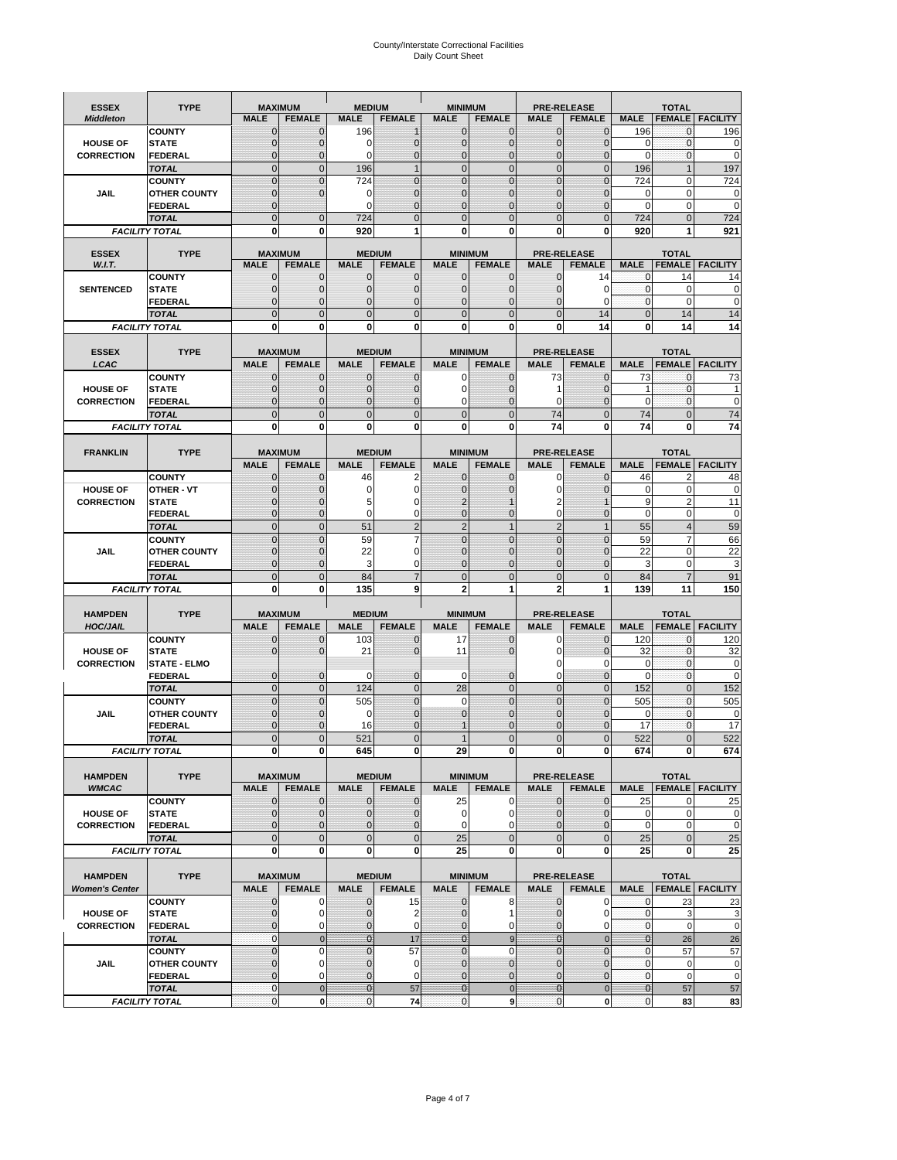# County/Interstate Correctional Facilities Daily Count Sheet

| <b>ESSEX</b>          | <b>TYPE</b>                           | <b>MAXIMUM</b>                   |                            | <b>MEDIUM</b>                 |                      | <b>MINIMUM</b>               |                          |                              | <b>PRE-RELEASE</b>           |                            | <b>TOTAL</b>               |                          |
|-----------------------|---------------------------------------|----------------------------------|----------------------------|-------------------------------|----------------------|------------------------------|--------------------------|------------------------------|------------------------------|----------------------------|----------------------------|--------------------------|
| <b>Middleton</b>      |                                       | <b>MALE</b>                      | <b>FEMALE</b>              | <b>MALE</b>                   | <b>FEMALE</b>        | <b>MALE</b>                  | <b>FEMALE</b>            | <b>MALE</b>                  | <b>FEMALE</b>                | <b>MALE</b>                |                            | <b>FEMALE   FACILITY</b> |
|                       | <b>COUNTY</b>                         | $\mathbf{0}$                     | 0                          | 196                           | 1                    | $\mathbf{0}$                 | $\Omega$                 | $\mathbf{0}$                 | $\Omega$                     | 196                        | 0                          | 196                      |
| <b>HOUSE OF</b>       | <b>STATE</b>                          | 0                                | $\mathbf 0$                | 0                             | 0                    | $\mathbf{0}$                 | $\mathbf{0}$             | $\mathbf 0$                  | $\overline{0}$               | $\mathbf 0$                | $\mathbf{0}$               | 0                        |
| <b>CORRECTION</b>     | <b>FEDERAL</b>                        | $\Omega$                         | $\Omega$                   | $\Omega$                      | 0                    | $\mathbf{0}$                 | $\mathbf 0$              | $\mathbf{0}$                 | $\Omega$                     | $\Omega$                   | $\Omega$                   | $\mathbf 0$              |
|                       | <b>TOTAL</b>                          | $\Omega$                         | $\overline{0}$             | 196                           | $\mathbf{1}$         | $\mathbf{0}$                 | $\mathbf{0}$             | $\overline{0}$               | $\Omega$                     | 196                        | 1                          | 197                      |
|                       | <b>COUNTY</b>                         | $\overline{0}$                   | $\overline{0}$             | 724                           | 0                    | $\mathbf{0}$                 | $\mathbf{0}$             | $\mathbf 0$                  | $\overline{0}$               | 724                        | $\mathbf 0$                | 724                      |
| <b>JAIL</b>           | <b>OTHER COUNTY</b><br><b>FEDERAL</b> | $\mathbf{0}$<br>$\mathbf{0}$     | $\Omega$                   | $\Omega$<br>$\mathbf 0$       | 0<br>0               | $\mathbf{0}$<br>$\mathbf{0}$ | $\Omega$<br>$\mathbf{0}$ | $\mathbf{0}$<br>$\mathbf{0}$ | $\sqrt{ }$<br>$\overline{0}$ | 0<br>$\mathbf 0$           | $\mathbf 0$<br>$\mathbf 0$ | 0<br>$\mathbf 0$         |
|                       | <b>TOTAL</b>                          | $\overline{0}$                   | $\overline{0}$             | 724                           | $\overline{0}$       | $\mathbf{0}$                 | $\mathbf{0}$             | $\overline{0}$               | $\overline{0}$               | 724                        | $\Omega$                   | 724                      |
|                       | <b>FACILITY TOTAL</b>                 | 0                                | 0                          | 920                           | 1                    | 0                            | 0                        | 0                            | $\mathbf 0$                  | 920                        | 1                          | 921                      |
|                       |                                       |                                  |                            |                               |                      |                              |                          |                              |                              |                            |                            |                          |
| <b>ESSEX</b>          | <b>TYPE</b>                           |                                  | <b>MAXIMUM</b>             |                               | <b>MEDIUM</b>        |                              | <b>MINIMUM</b>           |                              | <b>PRE-RELEASE</b>           |                            | <b>TOTAL</b>               |                          |
| W.I.T.                |                                       | <b>MALE</b>                      | <b>FEMALE</b>              | <b>MALE</b>                   | <b>FEMALE</b>        | <b>MALE</b>                  | <b>FEMALE</b>            | <b>MALE</b>                  | <b>FEMALE</b>                | <b>MALE</b>                |                            | <b>FEMALE</b> FACILITY   |
|                       | <b>COUNTY</b>                         | 0                                | $\mathbf 0$                | $\mathbf{0}$                  | 0                    | $\mathbf 0$                  | $\mathbf{0}$             | 0                            | 14                           | 0                          | 14                         | 14                       |
| <b>SENTENCED</b>      | <b>STATE</b>                          | $\overline{0}$                   | $\overline{0}$             | $\mathbf 0$                   | $\overline{0}$       | $\mathbf{0}$                 | $\Omega$                 | $\mathbf 0$                  | $\Omega$                     | $\mathbf 0$<br>$\mathbf 0$ | $\Omega$                   | 0                        |
|                       | <b>FEDERAL</b><br><b>TOTAL</b>        | $\overline{0}$<br>$\overline{0}$ | 0<br>$\overline{0}$        | $\overline{0}$<br>$\mathbf 0$ | 0<br>$\overline{0}$  | $\mathbf 0$<br>$\mathbf{0}$  | 0<br>$\overline{0}$      | 0<br>$\overline{0}$          | 0<br>14                      | $\mathbf{0}$               | $\mathbf 0$<br>14          | $\mathbf 0$<br>14        |
|                       | <b>FACILITY TOTAL</b>                 | 0                                | 0                          | 0                             | O                    | $\bf{0}$                     | 0                        | 0                            | 14                           | 0                          | 14                         | 14                       |
|                       |                                       |                                  |                            |                               |                      |                              |                          |                              |                              |                            |                            |                          |
| <b>ESSEX</b>          | <b>TYPE</b>                           | <b>MAXIMUM</b>                   |                            |                               | <b>MEDIUM</b>        |                              | <b>MINIMUM</b>           |                              | <b>PRE-RELEASE</b>           |                            | <b>TOTAL</b>               |                          |
| LCAC                  |                                       | <b>MALE</b>                      | <b>FEMALE</b>              | <b>MALE</b>                   | <b>FEMALE</b>        | <b>MALE</b>                  | <b>FEMALE</b>            | <b>MALE</b>                  | <b>FEMALE</b>                | <b>MALE</b>                | <b>FEMALE</b>              | <b>FACILITY</b>          |
|                       | <b>COUNTY</b>                         | $\mathbf{0}$                     | $\mathbf 0$                | $\mathbf{0}$                  | $\mathbf 0$          | $\mathbf 0$                  | $\mathbf{0}$             | 73                           | $\Omega$                     | 73                         | 0                          | 73                       |
| <b>HOUSE OF</b>       | <b>STATE</b>                          | 0                                | 0                          | $\mathbf{0}$                  | 0                    | 0                            | $\mathbf{0}$             | 1                            | $\Omega$                     | 1                          | $\mathbf 0$                |                          |
| <b>CORRECTION</b>     | FEDERAL                               | $\Omega$                         | $\overline{0}$             | $\mathbf{0}$                  | 0                    | $\mathbf 0$                  | $\Omega$                 | 0                            | $\Omega$                     | $\mathbf 0$                | $\mathbf{0}$               | 0                        |
|                       | <b>TOTAL</b>                          | $\mathbf 0$                      | $\overline{0}$             | $\mathbf 0$                   | $\overline{0}$       | $\mathbf{0}$                 | $\mathbf{0}$             | 74                           | $\overline{0}$               | 74                         | $\mathbf{0}$               | 74                       |
|                       | <b>FACILITY TOTAL</b>                 | 0                                | 0                          | 0                             | 0                    | $\mathbf 0$                  | 0                        | 74                           | $\bf{0}$                     | 74                         | $\bf{0}$                   | 74                       |
|                       |                                       |                                  |                            |                               |                      |                              |                          |                              |                              |                            |                            |                          |
| <b>FRANKLIN</b>       | <b>TYPE</b>                           | <b>MAXIMUM</b>                   |                            |                               | <b>MEDIUM</b>        |                              | <b>MINIMUM</b>           |                              | <b>PRE-RELEASE</b>           |                            | <b>TOTAL</b>               |                          |
|                       |                                       | <b>MALE</b>                      | <b>FEMALE</b>              | <b>MALE</b>                   | <b>FEMALE</b>        | <b>MALE</b>                  | <b>FEMALE</b>            | <b>MALE</b>                  | <b>FEMALE</b>                | <b>MALE</b>                | <b>FEMALE</b>              | <b>FACILITY</b>          |
|                       | <b>COUNTY</b>                         | $\mathbf{0}$                     | 0                          | 46                            | 2                    | $\mathbf{0}$                 | $\mathbf{0}$             | 0                            | $\Omega$                     | 46                         | $\overline{2}$             | 48                       |
| <b>HOUSE OF</b>       | OTHER - VT                            | $\Omega$                         | $\mathbf 0$                | $\Omega$                      | $\Omega$             | $\Omega$                     | $\Omega$                 | $\mathbf 0$                  |                              | $\Omega$                   | $\Omega$                   | $\mathbf 0$              |
| <b>CORRECTION</b>     | <b>STATE</b>                          | 0                                | $\mathbf 0$                | 5                             | 0                    | $\overline{2}$               |                          | 2                            |                              | 9                          | $\overline{2}$             | 11                       |
|                       | <b>FEDERAL</b>                        | $\Omega$                         | $\mathbf 0$                | $\Omega$                      | 0                    | $\mathbf{0}$                 | $\mathbf{0}$             | $\mathbf 0$                  | $\Omega$                     | 0                          | $\mathbf 0$                | $\mathbf 0$              |
|                       | <b>TOTAL</b>                          | $\overline{0}$                   | $\overline{0}$             | 51                            | $\overline{2}$       | $\overline{2}$               | $\mathbf{1}$             | $\overline{2}$               | 1                            | 55                         | $\overline{4}$             | 59                       |
|                       | <b>COUNTY</b>                         | $\mathbf 0$                      | $\mathbf 0$                | 59                            | 7                    | $\mathbf{0}$                 | $\mathbf{0}$             | $\mathbf{0}$                 | $\overline{0}$<br>ſ          | 59                         | 7                          | 66                       |
| <b>JAIL</b>           | <b>OTHER COUNTY</b><br><b>FEDERAL</b> | 0<br>0                           | $\mathbf 0$<br>$\mathbf 0$ | 22<br>3                       | 0<br>0               | $\Omega$<br>$\mathbf{0}$     | $\Omega$<br>$\mathbf 0$  | $\mathbf 0$<br>$\mathbf 0$   | $\Omega$                     | 22<br>3                    | $\Omega$<br>$\Omega$       | 22<br>3                  |
|                       | <b>TOTAL</b>                          | $\mathbf 0$                      | $\overline{0}$             | 84                            | $\overline{7}$       | $\mathbf{0}$                 | $\overline{0}$           | $\mathbf 0$                  | $\overline{0}$               | 84                         | $\overline{7}$             | 91                       |
|                       | <b>FACILITY TOTAL</b>                 | 0                                | 0                          | 135                           | 9                    | $\overline{2}$               | 1                        | $\overline{2}$               | 1                            | 139                        | 11                         | 150                      |
|                       |                                       |                                  |                            |                               |                      |                              |                          |                              |                              |                            |                            |                          |
| <b>HAMPDEN</b>        | <b>TYPE</b>                           |                                  | <b>MAXIMUM</b>             | <b>MEDIUM</b>                 |                      | <b>MINIMUM</b>               |                          |                              | <b>PRE-RELEASE</b>           |                            | <b>TOTAL</b>               |                          |
| <b>HOC/JAIL</b>       |                                       | <b>MALE</b>                      | <b>FEMALE</b>              | <b>MALE</b>                   | <b>FEMALE</b>        | <b>MALE</b>                  | <b>FEMALE</b>            | <b>MALE</b>                  | <b>FEMALE</b>                | <b>MALE</b>                | <b>FEMALE</b>              | <b>FACILITY</b>          |
|                       | <b>COUNTY</b>                         | 0                                | 0                          | 103                           | 0                    | 17                           | $\mathbf 0$              | 0                            | $\Omega$                     | 120                        | $\Omega$                   | 120                      |
| <b>HOUSE OF</b>       | <b>STATE</b>                          | 0                                | $\overline{0}$             | 21                            | $\overline{0}$       | 11                           | $\mathbf{0}$             | $\mathbf 0$                  | $\Omega$                     | 32                         | $\mathbf{0}$               | 32                       |
| <b>CORRECTION</b>     | <b>STATE - ELMO</b>                   |                                  |                            |                               |                      |                              |                          | 0                            | $\Omega$                     | 0                          | $\mathbf{0}$               | 0                        |
|                       | <b>FEDERAL</b>                        | $\mathbf{0}$                     | $\mathbf 0$                | 0                             | 0                    | $\mathbf 0$                  | $\mathbf{0}$             | $\mathbf 0$                  | $\overline{0}$               | $\mathbf 0$                | $\mathbf{0}$               | 0                        |
|                       | <b>TOTAL</b>                          | $\mathbf{0}$                     | $\mathbf{0}$               | 124                           | $\overline{0}$       | 28                           | $\mathbf 0$              | $\mathbf 0$                  | $\mathbf{0}$                 | 152                        | $\mathbf{0}$               | 152                      |
|                       | <b>COUNTY</b>                         | $\overline{0}$                   | $\overline{0}$             | 505                           | $\overline{0}$       | 0                            | $\mathbf{0}$             | $\mathbf{0}$                 | $\Omega$                     | 505                        | $\Omega$                   | 505                      |
| JAIL                  | <b>OTHER COUNTY</b><br><b>FEDERAL</b> | 0<br>0                           | $\mathbf 0$<br>$\mathbf 0$ | 0                             | 0<br>0               | $\mathbf{0}$                 | $\Omega$<br>$\Omega$     | 0                            | $\sqrt{ }$<br>$\Omega$       | $\Omega$                   | $\Omega$<br>$\mathbf 0$    | 0<br>17                  |
|                       | <b>TOTAL</b>                          | $\overline{0}$                   | $\overline{0}$             | 16<br>521                     | $\Omega$             |                              | $\Omega$                 | 0<br>$\overline{0}$          | $\Omega$                     | 17<br>522                  | $\Omega$                   | 522                      |
|                       | <b>FACILITY TOTAL</b>                 | $\mathbf{0}$                     | 0                          | 645                           | $\mathbf{0}$         | 29                           | 0                        | $\mathbf{0}$                 | $\mathbf{0}$                 | 674                        | $\mathbf{0}$               | 674                      |
|                       |                                       |                                  |                            |                               |                      |                              |                          |                              |                              |                            |                            |                          |
| <b>HAMPDEN</b>        | <b>TYPE</b>                           |                                  | <b>MAXIMUM</b>             |                               | <b>MEDIUM</b>        |                              | <b>MINIMUM</b>           |                              | <b>PRE-RELEASE</b>           |                            | <b>TOTAL</b>               |                          |
| <b>WMCAC</b>          |                                       | <b>MALE</b>                      | <b>FEMALE</b>              | <b>MALE</b>                   | <b>FEMALE</b>        | <b>MALE</b>                  | <b>FEMALE</b>            | <b>MALE</b>                  | <b>FEMALE</b>                | <b>MALE</b>                |                            | <b>FEMALE   FACILITY</b> |
|                       | <b>COUNTY</b>                         | $\mathbf{0}$                     | $\mathbf 0$                | $\mathbf{0}$                  | 0                    | 25                           | 0                        | $\mathbf{0}$                 | $\overline{0}$               | 25                         | 0                          | 25                       |
| <b>HOUSE OF</b>       | <b>STATE</b>                          | 0                                | $\mathbf{0}$               | 0                             | 0                    | 0                            | 0                        | 0                            | $\overline{0}$               | 0                          | $\mathbf 0$                | 0                        |
| <b>CORRECTION</b>     | <b>FEDERAL</b>                        | $\mathbf{0}$                     | $\mathbf 0$                | $\overline{0}$                | $\mathbf 0$          | $\mathbf 0$                  | $\Omega$                 | 0                            | $\overline{0}$               | $\mathbf 0$                | $\mathbf 0$                | $\pmb{0}$                |
|                       | <b>TOTAL</b>                          | $\mathbf{0}$                     | $\mathbf 0$                | $\overline{0}$                | $\mathbf 0$          | 25                           | $\mathbf 0$              | $\mathbf 0$                  | $\mathbf 0$                  | 25                         | $\mathbf{0}$               | 25                       |
|                       | <b>FACILITY TOTAL</b>                 | 0                                | $\bf{0}$                   | 0                             | 0                    | 25                           | $\mathbf 0$              | 0                            | $\mathbf 0$                  | 25                         | $\mathbf 0$                | 25                       |
|                       |                                       |                                  |                            |                               |                      |                              |                          |                              |                              |                            |                            |                          |
| <b>HAMPDEN</b>        | <b>TYPE</b>                           |                                  | <b>MAXIMUM</b>             |                               | <b>MEDIUM</b>        |                              | <b>MINIMUM</b>           |                              | PRE-RELEASE                  |                            | <b>TOTAL</b>               |                          |
| <b>Women's Center</b> | <b>COUNTY</b>                         | <b>MALE</b>                      | <b>FEMALE</b>              | <b>MALE</b>                   | <b>FEMALE</b>        | <b>MALE</b>                  | <b>FEMALE</b>            | <b>MALE</b><br>$\mathbf{0}$  | <b>FEMALE</b><br>0           | <b>MALE</b><br>0           |                            | <b>FEMALE FACILITY</b>   |
| <b>HOUSE OF</b>       | <b>STATE</b>                          | 0<br>0                           | 0<br>$\mathbf 0$           | 0<br>$\mathbf{0}$             | 15<br>$\overline{2}$ | $\mathbf 0$<br>$\mathbf{0}$  | 8<br>1                   | $\mathbf{0}$                 | 0                            | $\mathbf 0$                | 23<br>3                    | 23<br>3                  |
| <b>CORRECTION</b>     | <b>FEDERAL</b>                        | $\mathbf{0}$                     | $\mathbf 0$                | $\mathbf{0}$                  | 0                    | $\mathbf 0$                  | 0                        | $\mathbf{0}$                 | 0                            | $\overline{0}$             | $\mathbf 0$                | $\mathbf 0$              |
|                       | <b>TOTAL</b>                          | $\mathbf{0}$                     | $\mathbf 0$                | $\overline{0}$                | 17                   | $\overline{0}$               | $\overline{9}$           | $\mathbf{0}$                 | $\mathbf{0}$                 | $\overline{0}$             | 26                         | 26                       |
|                       | <b>COUNTY</b>                         | $\pmb{0}$                        | $\mathbf 0$                | $\pmb{0}$                     | 57                   | $\mathbf 0$                  | $\mathbf 0$              | $\mathbf 0$                  | $\mathbf 0$                  | $\mathbf 0$                | 57                         | 57                       |
| JAIL                  | <b>OTHER COUNTY</b>                   | $\overline{0}$                   | 0                          | $\mathbf{0}$                  | 0                    | $\mathbf{0}$                 | $\mathbf{0}$             | $\mathbf 0$                  | $\Omega$                     | $\mathbf{0}$               | $\mathbf 0$                | 0                        |
|                       | <b>FEDERAL</b>                        | 0                                | 0                          | $\mathbf{0}$                  | 0                    | $\mathbf 0$                  | $\mathbf{0}$             | 0                            | $\mathbf{0}$                 | $\mathbf 0$                | $\mathbf 0$                | $\mathbf 0$              |
|                       | <b>TOTAL</b>                          | $\bf 0$                          | $\mathbf 0$                | $\overline{0}$                | 57                   | $\mathbf{0}$                 | $\mathbf 0$              | $\bf{0}$                     | $\pmb{0}$                    | $\bf{0}$                   | 57                         | 57                       |
|                       | <b>FACILITY TOTAL</b>                 | $\pmb{0}$                        | $\mathbf 0$                | $\mathbf 0$                   | 74                   | $\mathbf 0$                  | $\boldsymbol{9}$         | $\mathbf 0$                  | 0                            | $\overline{0}$             | 83                         | 83                       |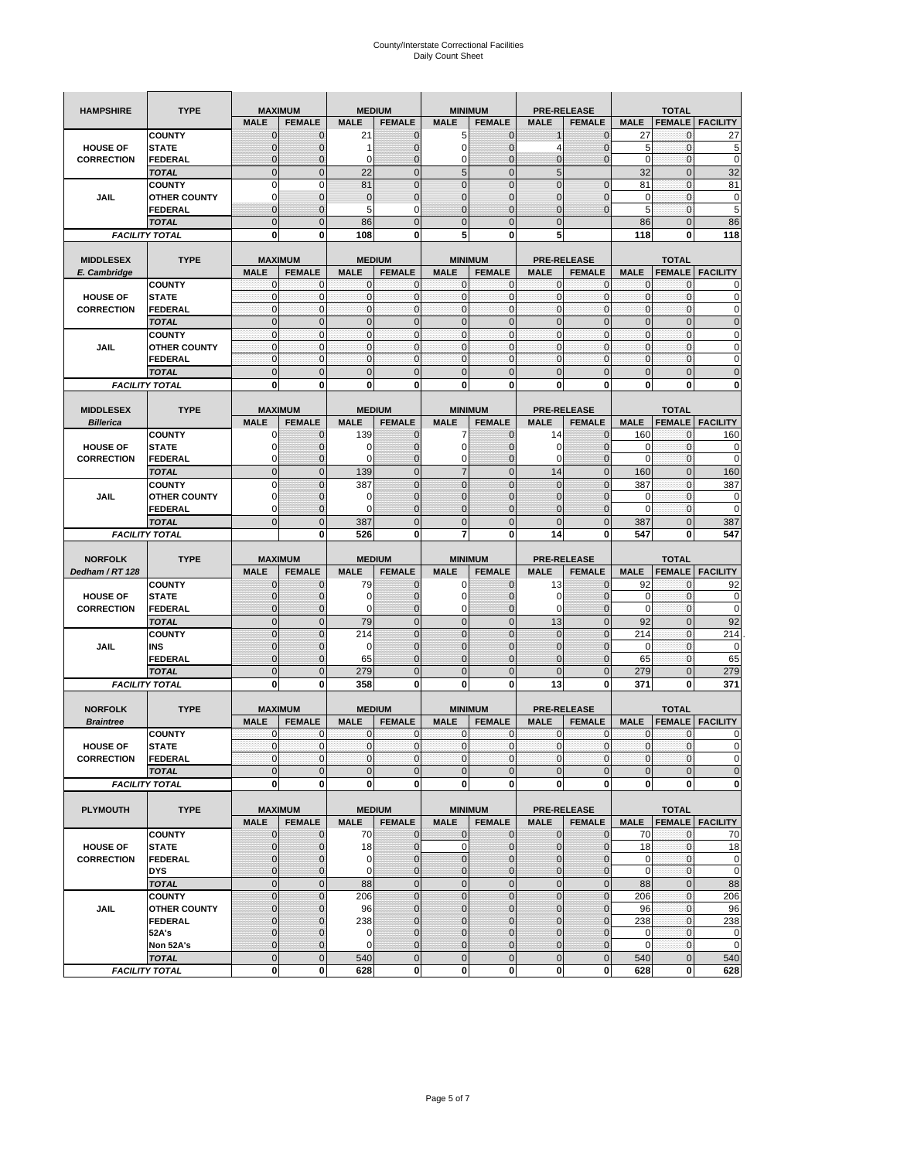| <b>HAMPSHIRE</b>                 | <b>TYPE</b>                   | <b>MAXIMUM</b>                |                                  | <b>MEDIUM</b>    |                                | <b>MINIMUM</b>                |                               | <b>PRE-RELEASE</b>                |                                  | <b>TOTAL</b>               |                               |                            |  |
|----------------------------------|-------------------------------|-------------------------------|----------------------------------|------------------|--------------------------------|-------------------------------|-------------------------------|-----------------------------------|----------------------------------|----------------------------|-------------------------------|----------------------------|--|
|                                  |                               | <b>MALE</b>                   | <b>FEMALE</b>                    | <b>MALE</b>      | <b>FEMALE</b>                  | <b>MALE</b>                   | <b>FEMALE</b>                 | <b>MALE</b>                       | <b>FEMALE</b>                    | <b>MALE</b>                | <b>FEMALE</b>                 | <b>FACILITY</b>            |  |
|                                  | <b>COUNTY</b>                 | $\mathbf 0$                   | $\overline{0}$                   | 21               | $\mathbf 0$                    | 5                             | $\mathbf{0}$                  |                                   | $\overline{0}$                   | 27                         | 0                             | 27                         |  |
| <b>HOUSE OF</b>                  | <b>STATE</b>                  | ∩                             | 0                                | 1                | $\mathbf{0}$                   | 0                             | $\mathbf 0$                   | 4                                 | 0                                | 5                          | $\mathbf 0$                   | 5                          |  |
| <b>CORRECTION</b>                | <b>FEDERAL</b>                | $\mathbf{0}$                  | 0                                | 0                | $\mathbf{0}$                   | 0                             | $\mathbf{0}$                  | $\mathbf{0}$                      | $\overline{0}$                   | $\mathbf 0$                | $\mathbf 0$                   | $\mathbf 0$                |  |
|                                  | <b>TOTAL</b>                  | $\overline{0}$                | $\mathbf 0$                      | 22               | $\overline{0}$                 | 5                             | $\overline{0}$                | 5                                 |                                  | 32                         | $\mathbf 0$                   | 32                         |  |
|                                  | <b>COUNTY</b>                 | $\Omega$                      | $\mathbf 0$                      | 81               | $\mathbf{0}$                   | $\overline{0}$                | $\overline{0}$                | $\overline{0}$                    | $\mathbf 0$                      | 81                         | $\mathbf 0$                   | 81                         |  |
| JAIL                             | <b>OTHER COUNTY</b>           | 0                             | $\overline{0}$                   | $\mathbf 0$      | $\mathbf{0}$                   | $\overline{0}$                | $\mathbf{0}$                  | 0                                 | $\overline{0}$                   | $\mathbf 0$                | $\mathbf{0}$                  | $\pmb{0}$                  |  |
|                                  | <b>FEDERAL</b>                | $\mathbf{0}$                  | $\overline{0}$                   | 5                | 0                              | $\overline{0}$                | $\overline{0}$                | $\mathbf{0}$                      | $\overline{0}$                   | 5                          | $\mathbf 0$                   | 5                          |  |
|                                  | <b>TOTAL</b>                  | $\Omega$                      | $\overline{0}$                   | 86               | $\mathbf{0}$                   | $\bf 0$                       | $\overline{0}$                | $\mathbf{0}$                      |                                  | 86                         | $\mathbf 0$                   | 86                         |  |
|                                  | <b>FACILITY TOTAL</b>         | $\bf{0}$                      | 0                                | 108              | 0                              | 5                             | 0                             | 5                                 |                                  | 118                        | 0                             | 118                        |  |
|                                  |                               |                               |                                  |                  |                                |                               |                               |                                   |                                  |                            |                               |                            |  |
| <b>MIDDLESEX</b><br>E. Cambridge | <b>TYPE</b>                   | <b>MAXIMUM</b><br><b>MALE</b> | <b>FEMALE</b>                    | <b>MALE</b>      | <b>MEDIUM</b><br><b>FEMALE</b> | <b>MINIMUM</b><br><b>MALE</b> | <b>FEMALE</b>                 | <b>PRE-RELEASE</b><br><b>MALE</b> | <b>FEMALE</b>                    | <b>MALE</b>                | <b>TOTAL</b><br><b>FEMALE</b> | <b>FACILITY</b>            |  |
|                                  | <b>COUNTY</b>                 | 0                             | $\mathbf 0$                      | 0                | 0                              | 0                             | $\mathbf{0}$                  | $\mathbf 0$                       | 0                                | 0                          | $\mathbf{0}$                  | 0                          |  |
| <b>HOUSE OF</b>                  | <b>STATE</b>                  | $\pmb{0}$                     | $\mathbf{0}$                     | $\mathbf 0$      | $\bf{0}$                       | 0                             | $\mathbf{0}$                  | $\mathbf 0$                       | 0                                | $\mathbf 0$                | $\mathbf 0$                   | $\mathbf 0$                |  |
| <b>CORRECTION</b>                | <b>FEDERAL</b>                | $\mathbf{0}$                  | $\mathbf{0}$                     | $\mathbf 0$      | $\mathbf{0}$                   | $\mathbf{0}$                  | $\mathbf{0}$                  | $\mathbf{0}$                      | $\mathbf 0$                      | $\mathbf 0$                | $\mathbf 0$                   | $\pmb{0}$                  |  |
|                                  | <b>TOTAL</b>                  | $\mathbf{0}$                  | $\overline{0}$                   | $\overline{0}$   | $\mathbf{0}$                   | $\overline{0}$                | $\mathbf 0$                   | $\mathbf{0}$                      | $\overline{0}$                   | $\overline{0}$             | $\overline{0}$                | $\pmb{0}$                  |  |
|                                  | <b>COUNTY</b>                 | $\mathbf{0}$                  | $\mathbf{0}$                     | $\mathbf 0$      | $\mathbf{0}$                   | $\mathbf{0}$                  | $\mathbf{0}$                  | $\mathbf{O}$                      | $\overline{0}$                   | $\mathbf 0$                | $\mathbf 0$                   | $\pmb{0}$                  |  |
| JAIL                             | <b>OTHER COUNTY</b>           | $\Omega$                      | $\mathbf 0$                      | $\mathbf 0$      | $\Omega$                       | $\mathbf{0}$                  | $\mathbf{0}$                  | $\mathbf{0}$                      | $\overline{0}$                   | $\mathbf 0$                | $\mathbf 0$                   | $\mathbf 0$                |  |
|                                  | <b>FEDERAL</b>                | $\mathbf{0}$                  | $\mathbf 0$                      | $\mathbf 0$      | $\mathbf{0}$                   | 0                             | $\mathbf{0}$                  | $\mathbf{O}$                      | 0                                | $\mathbf 0$                | $\mathbf 0$                   | $\mathbf 0$                |  |
|                                  | <b>TOTAL</b>                  | $\mathbf 0$                   | $\overline{0}$                   | $\overline{0}$   | $\mathbf{0}$                   | $\mathbf 0$                   | $\mathbf 0$                   | $\mathbf{0}$                      | $\overline{0}$                   | $\mathbf 0$                | $\overline{0}$                | $\mathbf 0$                |  |
|                                  | <b>FACILITY TOTAL</b>         | 0                             | $\bf{0}$                         | 0                | 0                              | 0                             | 0                             | 0                                 | 0                                | 0                          | $\bf{0}$                      | $\bf{0}$                   |  |
|                                  |                               |                               |                                  |                  |                                |                               |                               |                                   |                                  |                            |                               |                            |  |
| <b>MIDDLESEX</b>                 | <b>TYPE</b>                   | <b>MAXIMUM</b><br><b>MALE</b> | <b>FEMALE</b>                    | <b>MALE</b>      | <b>MEDIUM</b><br><b>FEMALE</b> | <b>MINIMUM</b><br><b>MALE</b> | <b>FEMALE</b>                 | <b>PRE-RELEASE</b><br><b>MALE</b> | <b>FEMALE</b>                    | <b>MALE</b>                | <b>TOTAL</b><br><b>FEMALE</b> | <b>FACILITY</b>            |  |
| <b>Billerica</b>                 | <b>COUNTY</b>                 | 0                             | $\overline{0}$                   | 139              | $\mathbf 0$                    | 7                             | $\mathbf 0$                   | 14                                | $\overline{0}$                   | 160                        | $\mathbf{0}$                  | 160                        |  |
| <b>HOUSE OF</b>                  | <b>STATE</b>                  |                               | $\overline{0}$                   | 0                | $\mathbf 0$                    | 0                             | $\overline{0}$                | 0                                 | $\overline{0}$                   | 0                          | $\mathbf{0}$                  | 0                          |  |
| <b>CORRECTION</b>                | FEDERAL                       | $\Omega$                      | 0                                | 0                | $\mathbf{0}$                   | 0                             | $\mathbf{0}$                  | 0                                 | 0                                | $\overline{0}$             | $\mathbf 0$                   | $\mathbf 0$                |  |
|                                  | <b>TOTAL</b>                  | $\mathbf{0}$                  | $\overline{0}$                   | 139              | $\mathbf{0}$                   | $\overline{7}$                | $\mathbf{0}$                  | 14                                | $\overline{0}$                   | 160                        | $\overline{0}$                | 160                        |  |
|                                  | <b>COUNTY</b>                 | $\Omega$                      | $\overline{0}$                   | 387              | $\mathbf{0}$                   | $\overline{0}$                | $\Omega$                      | $\mathbf{0}$                      | $\overline{0}$                   | 387                        | $\mathbf{0}$                  | 387                        |  |
| JAIL                             | <b>OTHER COUNTY</b>           | $\Omega$                      | 0                                | 0                | $\overline{0}$                 | 0                             | $\mathbf{0}$                  | $\overline{0}$                    | 0                                | 0                          | 0                             | 0                          |  |
|                                  | <b>FEDERAL</b>                | 0                             | $\overline{0}$                   | $\mathbf 0$      | 0                              | $\overline{0}$                | $\overline{0}$                | 0                                 | $\overline{0}$                   | $\mathbf 0$                | $\mathbf{0}$                  | $\mathbf 0$                |  |
|                                  | <b>TOTAL</b>                  | $\Omega$                      | $\mathbf 0$                      | 387              | $\mathbf{0}$                   | $\mathbf 0$                   | $\mathbf 0$                   | $\mathbf{0}$                      | $\overline{0}$                   | 387                        | $\mathbf 0$                   | 387                        |  |
|                                  | <b>FACILITY TOTAL</b>         |                               | $\mathbf 0$                      | 526              | $\bf{0}$                       | 7                             | 0                             | 14                                | 0                                | 547                        | $\bf{0}$                      | 547                        |  |
|                                  |                               |                               |                                  |                  |                                |                               |                               |                                   |                                  |                            |                               |                            |  |
|                                  |                               |                               |                                  |                  |                                |                               |                               |                                   |                                  |                            |                               |                            |  |
| <b>NORFOLK</b>                   | <b>TYPE</b>                   | <b>MAXIMUM</b>                |                                  |                  | <b>MEDIUM</b>                  | <b>MINIMUM</b>                |                               |                                   | <b>PRE-RELEASE</b>               |                            | <b>TOTAL</b>                  |                            |  |
| Dedham / RT 128                  |                               | <b>MALE</b>                   | <b>FEMALE</b>                    | <b>MALE</b>      | <b>FEMALE</b>                  | <b>MALE</b>                   | <b>FEMALE</b>                 | <b>MALE</b>                       | <b>FEMALE</b>                    | <b>MALE</b>                | <b>FEMALE</b>                 | <b>FACILITY</b>            |  |
|                                  | <b>COUNTY</b>                 | $\Omega$                      | $\overline{0}$                   | 79               | 0                              | 0                             | $\mathbf 0$                   | 13                                | $\overline{0}$                   | 92                         | 0                             | 92                         |  |
| <b>HOUSE OF</b>                  | <b>STATE</b>                  | $\Omega$                      | $\overline{0}$                   | 0                | $\mathbf{0}$                   | 0                             | $\overline{0}$                | 0                                 | $\overline{0}$                   | 0                          | 0                             | 0                          |  |
| <b>CORRECTION</b>                | <b>FEDERAL</b>                | $\Omega$<br>$\Omega$          | 0                                | 0                | $\mathbf{0}$                   | 0                             | $\mathbf 0$                   | 0                                 | 0                                | $\mathbf 0$                | $\mathbf 0$                   | $\mathbf 0$                |  |
|                                  | <b>TOTAL</b><br><b>COUNTY</b> | $\overline{0}$                | $\overline{0}$<br>$\overline{0}$ | 79<br>214        | $\mathbf{0}$<br>$\mathbf{0}$   | $\mathbf 0$<br>$\overline{0}$ | $\mathbf 0$<br>$\overline{0}$ | 13<br>$\mathbf{0}$                | $\overline{0}$<br>$\overline{0}$ | 92                         | $\mathbf 0$<br>$\mathbf 0$    | 92                         |  |
| JAIL                             | INS                           | $\mathbf{0}$                  | 0                                | 0                | $\overline{0}$                 | 0                             | $\mathbf{0}$                  | 0                                 | 0                                | 214<br>0                   | 0                             | 214<br>0                   |  |
|                                  | <b>FEDERAL</b>                | $\Omega$                      | $\overline{0}$                   | 65               | $\mathbf 0$                    | $\overline{0}$                | $\overline{0}$                | 0                                 | $\overline{0}$                   | 65                         | $\mathbf{0}$                  | 65                         |  |
|                                  | <b>TOTAL</b>                  | $\mathbf{0}$                  | $\overline{0}$                   | 279              | $\mathbf{0}$                   | $\overline{0}$                | $\overline{0}$                | $\Omega$                          | $\overline{0}$                   | 279                        | $\overline{0}$                | 279                        |  |
|                                  | <b>FACILITY TOTAL</b>         | $\mathbf 0$                   | $\mathbf 0$                      | 358              | 0                              | 0                             | 0                             | 13                                | 0                                | 371                        | $\bf{0}$                      | 371                        |  |
|                                  |                               |                               |                                  |                  |                                |                               |                               |                                   |                                  |                            |                               |                            |  |
| <b>NORFOLK</b>                   | <b>TYPE</b>                   | <b>MAXIMUM</b>                |                                  |                  | <b>MEDIUM</b>                  |                               | <b>MINIMUM</b>                |                                   | <b>PRE-RELEASE</b>               |                            | <b>TOTAL</b>                  |                            |  |
| <b>Braintree</b>                 |                               | <b>MALE</b>                   | <b>FEMALE</b>                    | <b>MALE</b>      | <b>FEMALE</b>                  | <b>MALE</b>                   | <b>FEMALE</b>                 | <b>MALE</b>                       | <b>FEMALE</b>                    | <b>MALE</b>                | <b>FEMALE</b>                 | <b>FACILITY</b>            |  |
|                                  | <b>COUNTY</b>                 | $\mathbf 0$                   | $\mathbf 0$                      | 0                | $\mathbf 0$                    | 0                             | $\mathbf{0}$                  | $\mathbf 0$                       | $\mathbf 0$                      | 0                          | 0                             | 0                          |  |
| <b>HOUSE OF</b>                  | <b>STATE</b>                  | $\mathbf{0}$                  | $\overline{0}$                   | $\mathbf 0$      | $\overline{0}$                 | $\overline{0}$                | $\mathbf{0}$                  | $\overline{0}$                    | $\mathbf{0}$                     | $\mathbf{0}$               | 0                             | $\Omega$                   |  |
| <b>CORRECTION</b>                | FEDERAL                       | $\mathbf 0$                   | 0                                | 0                | $\mathbf 0$                    | $\mathbf 0$                   | 0                             | $\mathbf 0$                       | $\mathbf 0$                      | $\pmb{0}$                  | 0                             | $\mathbf 0$                |  |
|                                  | <b>TOTAL</b>                  | $\mathbf{0}$<br>$\mathbf{0}$  | $\mathbf 0$<br>$\mathbf{0}$      | $\mathbf 0$<br>0 | $\mathbf{0}$<br>$\mathbf 0$    | $\bf 0$                       | $\pmb{0}$<br>$\bf{0}$         | $\mathbf{0}$<br>$\mathbf 0$       | $\mathbf 0$<br>$\mathbf{0}$      | $\mathbf 0$<br>$\mathbf 0$ | $\mathbf 0$<br>0              | $\mathbf 0$<br>$\mathbf 0$ |  |
|                                  | <b>FACILITY TOTAL</b>         |                               |                                  |                  |                                | $\mathbf{0}$                  |                               |                                   |                                  |                            |                               |                            |  |
| <b>PLYMOUTH</b>                  | <b>TYPE</b>                   |                               | <b>MAXIMUM</b>                   |                  | <b>MEDIUM</b>                  |                               | <b>MINIMUM</b>                |                                   | <b>PRE-RELEASE</b>               |                            | <b>TOTAL</b>                  |                            |  |
|                                  |                               | <b>MALE</b>                   | <b>FEMALE</b>                    | <b>MALE</b>      | <b>FEMALE</b>                  | <b>MALE</b>                   | <b>FEMALE</b>                 | <b>MALE</b>                       | <b>FEMALE</b>                    | <b>MALE</b>                |                               | <b>FEMALE FACILITY</b>     |  |
|                                  | <b>COUNTY</b>                 | $\mathbf{0}$                  | $\mathbf{0}$                     | 70               | $\mathbf{0}$                   | 0                             | $\mathbf{0}$                  | $\mathbf{0}$                      | $\overline{0}$                   | 70                         | $\mathbf 0$                   | 70                         |  |
| <b>HOUSE OF</b>                  | <b>STATE</b>                  | $\mathbf{0}$                  | 0                                | 18               | $\mathbf{0}$                   | 0                             | $\pmb{0}$                     | $\mathbf 0$                       | $\overline{0}$                   | 18                         | $\mathbf{0}$                  | 18                         |  |
| <b>CORRECTION</b>                | <b>FEDERAL</b>                | $\Omega$                      | 0                                | 0                | $\mathbf{0}$                   | 0                             | $\mathbf{0}$                  | $\mathbf{0}$                      | 0                                | $\mathbf 0$                | $\mathbf{0}$                  | $\mathbf 0$                |  |
|                                  | <b>DYS</b>                    | $\mathbf{0}$                  | 0                                | $\mathbf 0$      | $\mathbf 0$                    | 0                             | $\pmb{0}$                     | $\mathbf 0$                       | $\overline{0}$                   | $\mathbf 0$                | $\mathbf 0$                   | $\mathbf 0$                |  |
|                                  | <b>TOTAL</b>                  | $\mathbf 0$                   | $\mathbf 0$                      | 88               | $\mathbf 0$                    | $\mathbf 0$                   | $\mathbf 0$                   | $\mathbf 0$                       | $\mathbf 0$                      | 88                         | $\pmb{0}$                     | 88                         |  |
|                                  | <b>COUNTY</b>                 | $\overline{0}$                | $\mathbf 0$                      | 206              | $\pmb{0}$                      | $\mathbf 0$                   | $\mathbf 0$                   | $\pmb{0}$                         | $\mathbf 0$                      | 206                        | $\mathbf{0}$                  | 206                        |  |
| JAIL                             | <b>OTHER COUNTY</b>           | $\mathbf{0}$                  | $\overline{0}$                   | 96               | $\overline{0}$                 | 0                             | $\mathbf{0}$                  | 0                                 | $\overline{0}$                   | 96                         | $\mathbf{0}$                  | 96                         |  |
|                                  | <b>FEDERAL</b>                | $\Omega$                      | 0                                | 238              | $\mathbf 0$                    | 0                             | $\mathbf 0$                   | 0                                 | 0                                | 238                        | $\mathbf 0$                   | 238                        |  |
|                                  | 52A's                         | $\Omega$<br>$\mathbf{0}$      | $\overline{0}$                   | $\mathbf 0$      | $\overline{0}$<br>$\mathbf{0}$ | $\overline{0}$                | $\mathbf 0$                   | $\overline{0}$                    | $\overline{0}$                   | 0                          | $\mathbf 0$                   | $\mathbf 0$                |  |
|                                  | Non 52A's<br><b>TOTAL</b>     | $\overline{0}$                | 0<br>$\overline{0}$              | 0<br>540         | $\overline{0}$                 | 0<br>$\overline{0}$           | $\mathbf 0$<br>$\mathbf{0}$   | $\mathbf 0$<br>$\mathbf{0}$       | 0<br>$\mathbf 0$                 | 0<br>540                   | 0<br>$\mathbf 0$              | $\mathbf 0$<br>540         |  |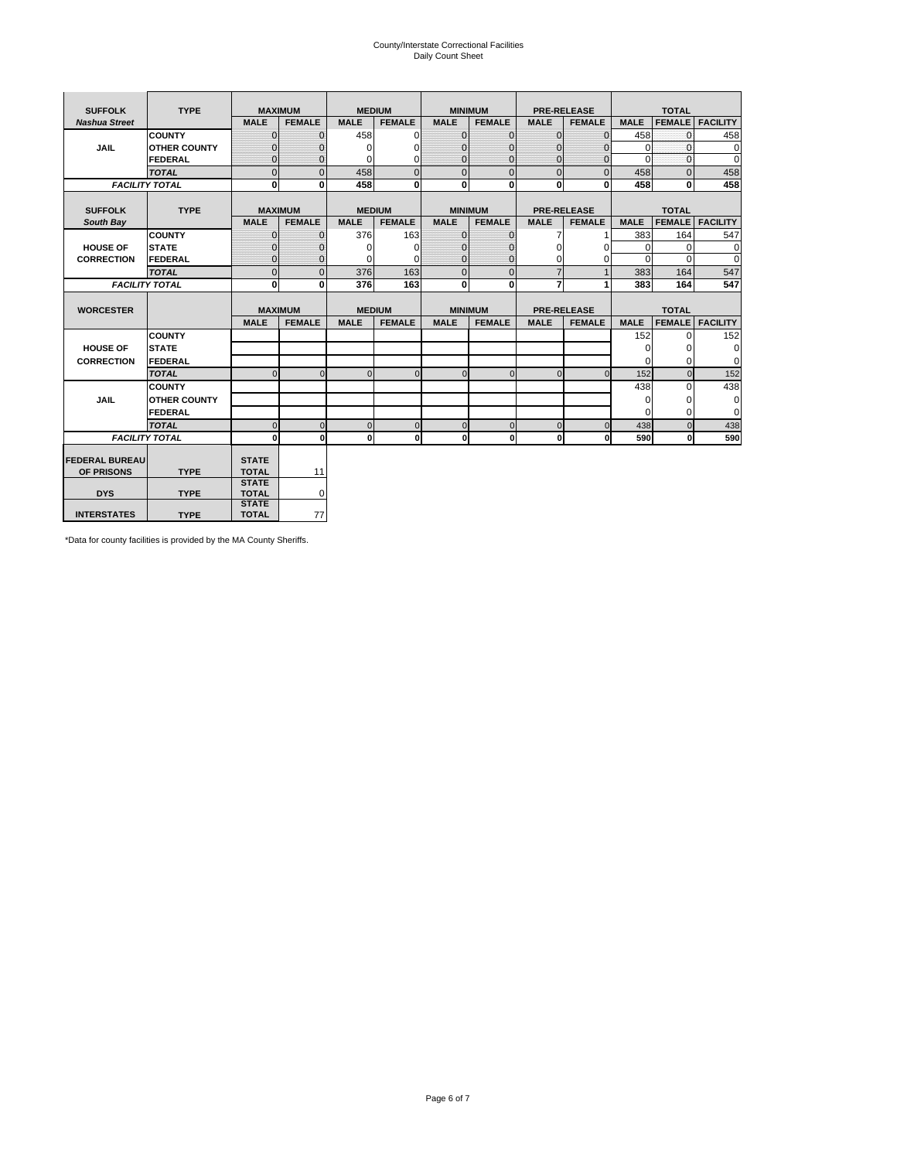# County/Interstate Correctional Facilities Daily Count Sheet

| <b>SUFFOLK</b><br><b>TYPE</b> |                       | <b>MAXIMUM</b>               |                | <b>MEDIUM</b> |               | <b>MINIMUM</b> |                | <b>PRE-RELEASE</b> |                    | <b>TOTAL</b> |               |                 |  |
|-------------------------------|-----------------------|------------------------------|----------------|---------------|---------------|----------------|----------------|--------------------|--------------------|--------------|---------------|-----------------|--|
| <b>Nashua Street</b>          |                       | <b>MALE</b>                  | <b>FEMALE</b>  | <b>MALE</b>   | <b>FEMALE</b> | <b>MALE</b>    | <b>FEMALE</b>  | <b>MALE</b>        | <b>FEMALE</b>      | <b>MALE</b>  | <b>FEMALE</b> | <b>FACILITY</b> |  |
|                               | <b>COUNTY</b>         | $\Omega$                     | $\mathbf{0}$   | 458           | $\Omega$      | $\mathbf{0}$   | $\Omega$       | $\mathbf{0}$       | $\Omega$           | 458          | $\Omega$      | 458             |  |
| JAIL                          | <b>OTHER COUNTY</b>   | $\Omega$                     | $\Omega$       | $\Omega$      | 0             | $\Omega$       | $\Omega$       | $\Omega$           | $\Omega$           | $\Omega$     | $\Omega$      | 0               |  |
|                               | <b>FEDERAL</b>        | $\mathbf{0}$                 | $\mathbf{0}$   | 0             | 0             | $\mathbf{0}$   | $\mathbf{0}$   | $\mathbf 0$        | $\mathbf{0}$       | $\Omega$     | 0             | 0               |  |
|                               | <b>TOTAL</b>          | $\Omega$                     | $\Omega$       | 458           | $\Omega$      | $\overline{0}$ | $\Omega$       | $\Omega$           | $\Omega$           | 458          | $\Omega$      | 458             |  |
|                               | <b>FACILITY TOTAL</b> | 0                            | $\bf{0}$       | 458           | 0             | $\mathbf{0}$   | $\bf{0}$       | $\mathbf{0}$       | 0                  | 458          | 0             | 458             |  |
|                               |                       |                              |                |               |               |                |                |                    |                    |              |               |                 |  |
| <b>SUFFOLK</b>                | <b>TYPE</b>           |                              | <b>MAXIMUM</b> |               | <b>MEDIUM</b> |                | <b>MINIMUM</b> |                    | <b>PRE-RELEASE</b> |              | <b>TOTAL</b>  |                 |  |
| South Bay                     |                       | <b>MALE</b>                  | <b>FEMALE</b>  | <b>MALE</b>   | <b>FEMALE</b> | <b>MALE</b>    | <b>FEMALE</b>  | <b>MALE</b>        | <b>FEMALE</b>      | <b>MALE</b>  | <b>FEMALE</b> | <b>FACILITY</b> |  |
|                               | <b>COUNTY</b>         | $\Omega$                     | $\mathbf{0}$   | 376           | 163           | $\mathbf{0}$   | $\mathbf{0}$   | 7                  |                    | 383          | 164           | 547             |  |
| <b>HOUSE OF</b>               | <b>STATE</b>          |                              | $\overline{0}$ | $\Omega$      | $\Omega$      | $\Omega$       | O              | $\Omega$           | $\Omega$           | $\Omega$     | $\Omega$      | 0               |  |
| <b>CORRECTION</b>             | <b>FEDERAL</b>        | $\Omega$                     | $\overline{0}$ | 0             | $\Omega$      | $\mathbf{0}$   | $\Omega$       | $\Omega$           | 0                  | $\Omega$     | $\Omega$      | $\Omega$        |  |
|                               | <b>TOTAL</b>          | $\Omega$                     | $\overline{0}$ | 376           | 163           | $\mathbf 0$    | $\mathbf{0}$   | $\overline{7}$     | $\mathbf{1}$       | 383          | 164           | 547             |  |
|                               | <b>FACILITY TOTAL</b> | 0                            | 0              | 376           | 163           | $\mathbf{0}$   | 0              | $\overline{7}$     | 1                  | 383          | 164           | 547             |  |
|                               |                       |                              |                |               |               |                |                |                    |                    |              |               |                 |  |
| <b>WORCESTER</b>              |                       |                              | <b>MAXIMUM</b> |               | <b>MEDIUM</b> |                | <b>MINIMUM</b> |                    | <b>PRE-RELEASE</b> |              | <b>TOTAL</b>  |                 |  |
|                               |                       | <b>MALE</b>                  | <b>FEMALE</b>  | <b>MALE</b>   | <b>FEMALE</b> | <b>MALE</b>    | <b>FEMALE</b>  | <b>MALE</b>        | <b>FEMALE</b>      | <b>MALE</b>  | <b>FEMALE</b> | <b>FACILITY</b> |  |
|                               | <b>COUNTY</b>         |                              |                |               |               |                |                |                    |                    | 152          | $\Omega$      | 152             |  |
| <b>HOUSE OF</b>               | <b>STATE</b>          |                              |                |               |               |                |                |                    |                    | 0            | 0             | 0               |  |
| <b>CORRECTION</b>             | FEDERAL               |                              |                |               |               |                |                |                    |                    | $\Omega$     | $\Omega$      | 0               |  |
|                               | <b>TOTAL</b>          | $\Omega$                     | $\mathbf{0}$   | $\Omega$      | $\mathbf 0$   | $\mathbf{0}$   | $\mathbf{0}$   | $\mathbf{0}$       | $\Omega$           | 152          | $\mathbf{0}$  | 152             |  |
|                               | <b>COUNTY</b>         |                              |                |               |               |                |                |                    |                    | 438          | $\Omega$      | 438             |  |
| <b>JAIL</b>                   | <b>OTHER COUNTY</b>   |                              |                |               |               |                |                |                    |                    | $\Omega$     | $\Omega$      | 0               |  |
|                               | FEDERAL               |                              |                |               |               |                |                |                    |                    | $\Omega$     | $\Omega$      | $\mathbf 0$     |  |
|                               | <b>TOTAL</b>          | $\cap$                       | $\Omega$       | $\Omega$      | $\mathbf{0}$  | $\mathbf{0}$   | $\Omega$       | $\Omega$           | $\Omega$           | 438          | $\Omega$      | 438             |  |
|                               | <b>FACILITY TOTAL</b> | $\Omega$                     | 0              | $\Omega$      | 0             | $\mathbf{0}$   | $\bf{0}$       | $\mathbf 0$        | 0                  | 590          | O             | 590             |  |
|                               |                       |                              |                |               |               |                |                |                    |                    |              |               |                 |  |
| <b>FEDERAL BUREAU</b>         |                       | <b>STATE</b>                 |                |               |               |                |                |                    |                    |              |               |                 |  |
| OF PRISONS                    | <b>TYPE</b>           | <b>TOTAL</b>                 | 11             |               |               |                |                |                    |                    |              |               |                 |  |
| <b>DYS</b>                    | <b>TYPE</b>           | <b>STATE</b><br><b>TOTAL</b> | 0              |               |               |                |                |                    |                    |              |               |                 |  |
|                               |                       | <b>STATE</b>                 |                |               |               |                |                |                    |                    |              |               |                 |  |
| <b>INTERSTATES</b>            |                       |                              |                |               |               |                |                |                    |                    |              |               |                 |  |

\*Data for county facilities is provided by the MA County Sheriffs.